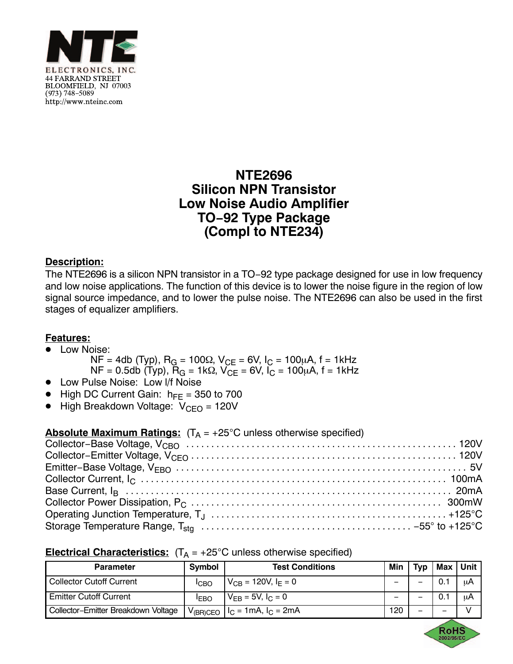

## **NTE2696 Silicon NPN Transistor Low Noise Audio Amplifier TO−92 Type Package (Compl to NTE234)**

## **Description:**

The NTE2696 is a silicon NPN transistor in a TO–92 type package designed for use in low frequency and low noise applications. The function of this device is to lower the noise figure in the region of low signal source impedance, and to lower the pulse noise. The NTE2696 can also be used in the first stages of equalizer amplifiers.

## **Features:**

- <u>■ Low Noise:</u>
	- $NF = 4db$  (Typ),  $R_G = 100\Omega$ ,  $V_{CE} = 6V$ ,  $I_C = 100\mu A$ ,  $f = 1kHz$  $NF = 0.5db$  (Typ),  $\hat{R}_G = 1k\Omega$ ,  $V_{CE} = 6V$ ,  $I_C = 100\mu A$ ,  $f = 1kHz$
- -Low Pulse Noise: Low l/f Noise
- $\bullet$  High DC Current Gain:  $h_{FE} = 350$  to 700
- $\bullet$  High Breakdown Voltage:  $V_{\text{CEO}} = 120V$

## **Electrical Characteristics:**  $(T_A = +25^{\circ}C$  unless otherwise specified)

| <b>Parameter</b>                    | Symbol            | <b>Test Conditions</b>                         |     | Tvp | Max                      | l Unit |
|-------------------------------------|-------------------|------------------------------------------------|-----|-----|--------------------------|--------|
| <b>Collector Cutoff Current</b>     | <b>ICBO</b>       | $V_{CB} = 120V, IE = 0$                        |     |     |                          | μA     |
| <b>Emitter Cutoff Current</b>       | <b>IFBO</b>       | $V_{EB} = 5V, I_C = 0$                         |     | -   | 0.1                      | μA     |
| Collector-Emitter Breakdown Voltage | $V_{\rm (BR)CEO}$ | $\lceil \cdot \rceil$ $l_c$ = 1mA, $l_c$ = 2mA | 120 | -   | $\overline{\phantom{0}}$ |        |